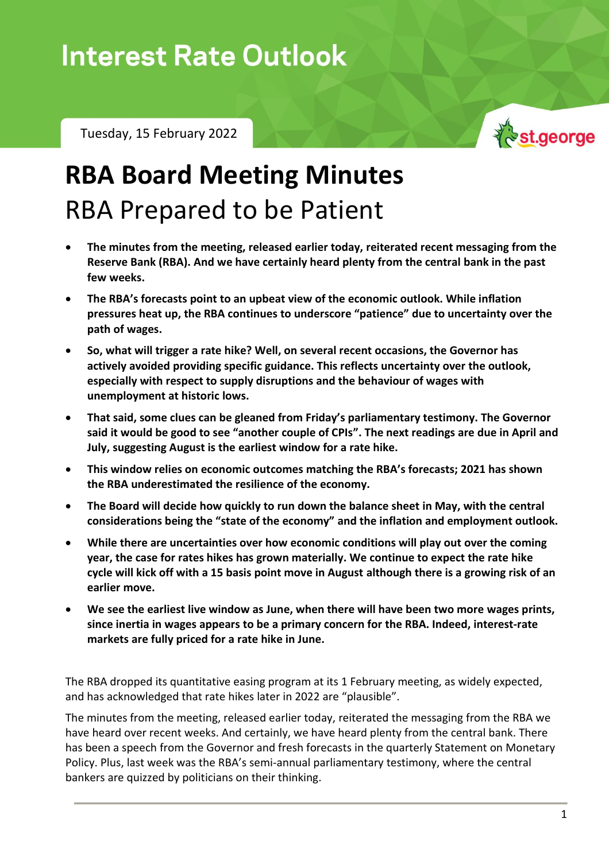Tuesday, 15 February 2022



# **RBA Board Meeting Minutes** RBA Prepared to be Patient

- **The minutes from the meeting, released earlier today, reiterated recent messaging from the Reserve Bank (RBA). And we have certainly heard plenty from the central bank in the past few weeks.**
- **The RBA's forecasts point to an upbeat view of the economic outlook. While inflation pressures heat up, the RBA continues to underscore "patience" due to uncertainty over the path of wages.**
- **So, what will trigger a rate hike? Well, on several recent occasions, the Governor has actively avoided providing specific guidance. This reflects uncertainty over the outlook, especially with respect to supply disruptions and the behaviour of wages with unemployment at historic lows.**
- **That said, some clues can be gleaned from Friday's parliamentary testimony. The Governor said it would be good to see "another couple of CPIs". The next readings are due in April and July, suggesting August is the earliest window for a rate hike.**
- **This window relies on economic outcomes matching the RBA's forecasts; 2021 has shown the RBA underestimated the resilience of the economy.**
- **The Board will decide how quickly to run down the balance sheet in May, with the central considerations being the "state of the economy" and the inflation and employment outlook.**
- **While there are uncertainties over how economic conditions will play out over the coming year, the case for rates hikes has grown materially. We continue to expect the rate hike cycle will kick off with a 15 basis point move in August although there is a growing risk of an earlier move.**
- **We see the earliest live window as June, when there will have been two more wages prints, since inertia in wages appears to be a primary concern for the RBA. Indeed, interest-rate markets are fully priced for a rate hike in June.**

The RBA dropped its quantitative easing program at its 1 February meeting, as widely expected, and has acknowledged that rate hikes later in 2022 are "plausible".

The minutes from the meeting, released earlier today, reiterated the messaging from the RBA we have heard over recent weeks. And certainly, we have heard plenty from the central bank. There has been a speech from the Governor and fresh forecasts in the quarterly Statement on Monetary Policy. Plus, last week was the RBA's semi-annual parliamentary testimony, where the central bankers are quizzed by politicians on their thinking.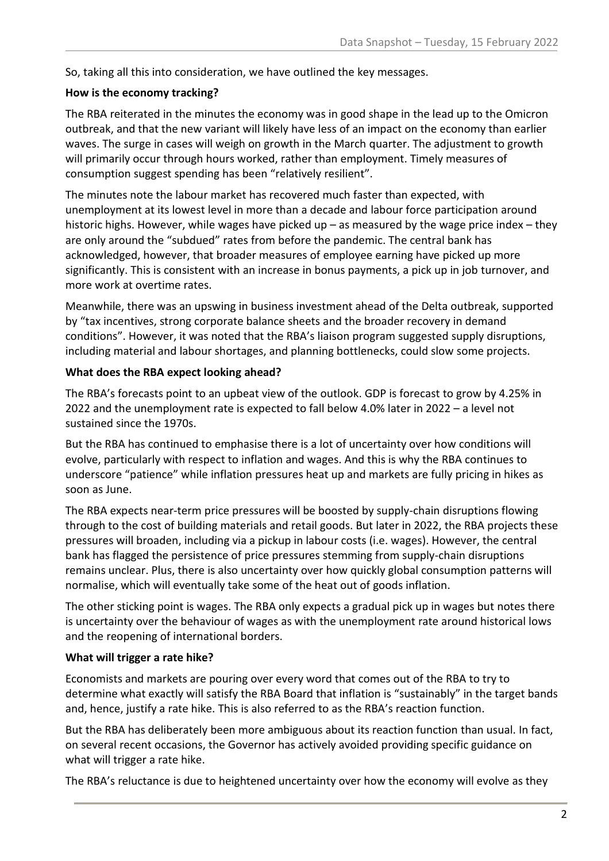So, taking all this into consideration, we have outlined the key messages.

#### **How is the economy tracking?**

The RBA reiterated in the minutes the economy was in good shape in the lead up to the Omicron outbreak, and that the new variant will likely have less of an impact on the economy than earlier waves. The surge in cases will weigh on growth in the March quarter. The adjustment to growth will primarily occur through hours worked, rather than employment. Timely measures of consumption suggest spending has been "relatively resilient".

The minutes note the labour market has recovered much faster than expected, with unemployment at its lowest level in more than a decade and labour force participation around historic highs. However, while wages have picked up – as measured by the wage price index – they are only around the "subdued" rates from before the pandemic. The central bank has acknowledged, however, that broader measures of employee earning have picked up more significantly. This is consistent with an increase in bonus payments, a pick up in job turnover, and more work at overtime rates.

Meanwhile, there was an upswing in business investment ahead of the Delta outbreak, supported by "tax incentives, strong corporate balance sheets and the broader recovery in demand conditions". However, it was noted that the RBA's liaison program suggested supply disruptions, including material and labour shortages, and planning bottlenecks, could slow some projects.

#### **What does the RBA expect looking ahead?**

The RBA's forecasts point to an upbeat view of the outlook. GDP is forecast to grow by 4.25% in 2022 and the unemployment rate is expected to fall below 4.0% later in 2022 – a level not sustained since the 1970s.

But the RBA has continued to emphasise there is a lot of uncertainty over how conditions will evolve, particularly with respect to inflation and wages. And this is why the RBA continues to underscore "patience" while inflation pressures heat up and markets are fully pricing in hikes as soon as June.

The RBA expects near-term price pressures will be boosted by supply-chain disruptions flowing through to the cost of building materials and retail goods. But later in 2022, the RBA projects these pressures will broaden, including via a pickup in labour costs (i.e. wages). However, the central bank has flagged the persistence of price pressures stemming from supply-chain disruptions remains unclear. Plus, there is also uncertainty over how quickly global consumption patterns will normalise, which will eventually take some of the heat out of goods inflation.

The other sticking point is wages. The RBA only expects a gradual pick up in wages but notes there is uncertainty over the behaviour of wages as with the unemployment rate around historical lows and the reopening of international borders.

### **What will trigger a rate hike?**

Economists and markets are pouring over every word that comes out of the RBA to try to determine what exactly will satisfy the RBA Board that inflation is "sustainably" in the target bands and, hence, justify a rate hike. This is also referred to as the RBA's reaction function.

But the RBA has deliberately been more ambiguous about its reaction function than usual. In fact, on several recent occasions, the Governor has actively avoided providing specific guidance on what will trigger a rate hike.

The RBA's reluctance is due to heightened uncertainty over how the economy will evolve as they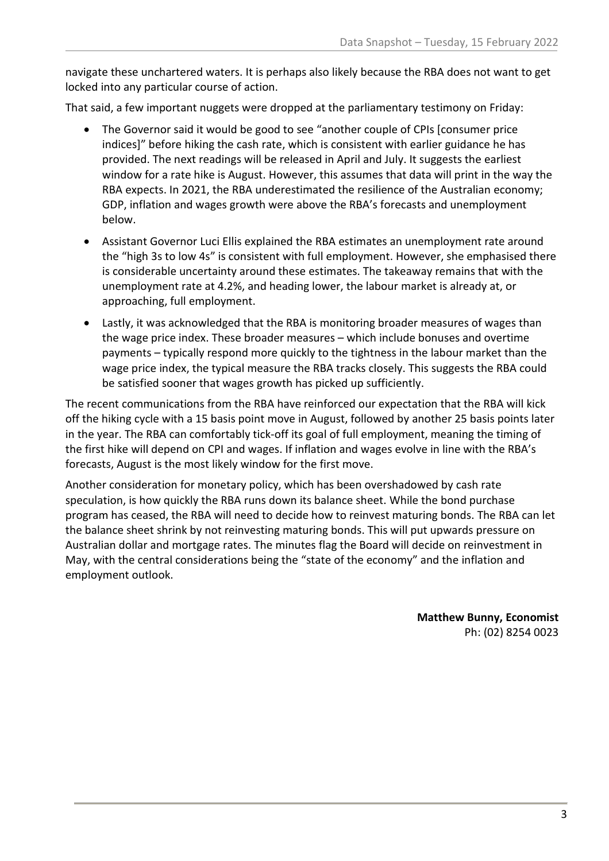navigate these unchartered waters. It is perhaps also likely because the RBA does not want to get locked into any particular course of action.

That said, a few important nuggets were dropped at the parliamentary testimony on Friday:

- The Governor said it would be good to see "another couple of CPIs [consumer price indices]" before hiking the cash rate, which is consistent with earlier guidance he has provided. The next readings will be released in April and July. It suggests the earliest window for a rate hike is August. However, this assumes that data will print in the way the RBA expects. In 2021, the RBA underestimated the resilience of the Australian economy; GDP, inflation and wages growth were above the RBA's forecasts and unemployment below.
- Assistant Governor Luci Ellis explained the RBA estimates an unemployment rate around the "high 3s to low 4s" is consistent with full employment. However, she emphasised there is considerable uncertainty around these estimates. The takeaway remains that with the unemployment rate at 4.2%, and heading lower, the labour market is already at, or approaching, full employment.
- Lastly, it was acknowledged that the RBA is monitoring broader measures of wages than the wage price index. These broader measures – which include bonuses and overtime payments – typically respond more quickly to the tightness in the labour market than the wage price index, the typical measure the RBA tracks closely. This suggests the RBA could be satisfied sooner that wages growth has picked up sufficiently.

The recent communications from the RBA have reinforced our expectation that the RBA will kick off the hiking cycle with a 15 basis point move in August, followed by another 25 basis points later in the year. The RBA can comfortably tick-off its goal of full employment, meaning the timing of the first hike will depend on CPI and wages. If inflation and wages evolve in line with the RBA's forecasts, August is the most likely window for the first move.

Another consideration for monetary policy, which has been overshadowed by cash rate speculation, is how quickly the RBA runs down its balance sheet. While the bond purchase program has ceased, the RBA will need to decide how to reinvest maturing bonds. The RBA can let the balance sheet shrink by not reinvesting maturing bonds. This will put upwards pressure on Australian dollar and mortgage rates. The minutes flag the Board will decide on reinvestment in May, with the central considerations being the "state of the economy" and the inflation and employment outlook.

> **Matthew Bunny, Economist** Ph: (02) 8254 0023